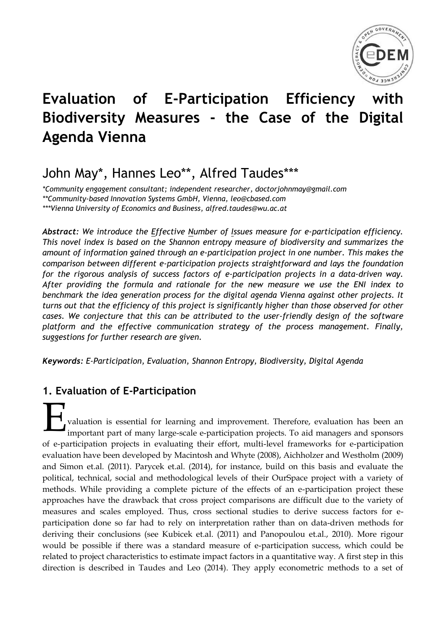

# **Evaluation of E-Participation Efficiency with Biodiversity Measures - the Case of the Digital Agenda Vienna**

## John May\*, Hannes Leo\*\*, Alfred Taudes\*\*\*

*\*Community engagement consultant; independent researcher, [doctorjohnmay@gmail.com](mailto:doctorjohnmay@gmail.com) \*\*Community-based Innovation Systems GmbH, Vienna, [leo@cbased.com](mailto:leo@cbased.com) \*\*\*Vienna University of Economics and Business, [alfred.taudes@wu.ac.at](mailto:alfred.taudes@wu.ac.at)*

*Abstract: We introduce the Effective Number of Issues measure for e-participation efficiency. This novel index is based on the Shannon entropy measure of biodiversity and summarizes the amount of information gained through an e-participation project in one number. This makes the comparison between different e-participation projects straightforward and lays the foundation for the rigorous analysis of success factors of e-participation projects in a data-driven way. After providing the formula and rationale for the new measure we use the ENI index to benchmark the idea generation process for the digital agenda Vienna against other projects. It turns out that the efficiency of this project is significantly higher than those observed for other cases. We conjecture that this can be attributed to the user-friendly design of the software platform and the effective communication strategy of the process management. Finally, suggestions for further research are given.* 

*Keywords: E-Participation, Evaluation, Shannon Entropy, Biodiversity, Digital Agenda*

## **1. Evaluation of E-Participation**

valuation is essential for learning and improvement. Therefore, evaluation has been an important part of many large-scale e-participation projects. To aid managers and sponsors of e-participation projects in evaluating their effort, multi-level frameworks for e-participation evaluation have been developed by Macintosh and Whyte (2008), Aichholzer and Westholm (2009) and Simon et.al. (2011). Parycek et.al. (2014), for instance, build on this basis and evaluate the political, technical, social and methodological levels of their OurSpace project with a variety of methods. While providing a complete picture of the effects of an e-participation project these approaches have the drawback that cross project comparisons are difficult due to the variety of measures and scales employed. Thus, cross sectional studies to derive success factors for eparticipation done so far had to rely on interpretation rather than on data-driven methods for deriving their conclusions (see Kubicek et.al. (2011) and Panopoulou et.al., 2010). More rigour would be possible if there was a standard measure of e-participation success, which could be related to project characteristics to estimate impact factors in a quantitative way. A first step in this direction is described in Taudes and Leo (2014). They apply econometric methods to a set of E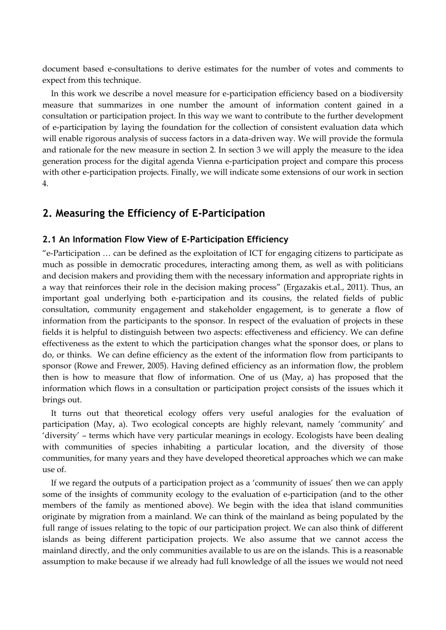document based e-consultations to derive estimates for the number of votes and comments to expect from this technique.

In this work we describe a novel measure for e-participation efficiency based on a biodiversity measure that summarizes in one number the amount of information content gained in a consultation or participation project. In this way we want to contribute to the further development of e-participation by laying the foundation for the collection of consistent evaluation data which will enable rigorous analysis of success factors in a data-driven way. We will provide the formula and rationale for the new measure in section 2. In section 3 we will apply the measure to the idea generation process for the digital agenda Vienna e-participation project and compare this process with other e-participation projects. Finally, we will indicate some extensions of our work in section 4.

## **2. Measuring the Efficiency of E-Participation**

### **2.1 An Information Flow View of E-Participation Efficiency**

"e-Participation … can be defined as the exploitation of ICT for engaging citizens to participate as much as possible in democratic procedures, interacting among them, as well as with politicians and decision makers and providing them with the necessary information and appropriate rights in a way that reinforces their role in the decision making process" (Ergazakis et.al., 2011). Thus, an important goal underlying both e-participation and its cousins, the related fields of public consultation, community engagement and stakeholder engagement, is to generate a flow of information from the participants to the sponsor. In respect of the evaluation of projects in these fields it is helpful to distinguish between two aspects: effectiveness and efficiency. We can define effectiveness as the extent to which the participation changes what the sponsor does, or plans to do, or thinks. We can define efficiency as the extent of the information flow from participants to sponsor (Rowe and Frewer, 2005). Having defined efficiency as an information flow, the problem then is how to measure that flow of information. One of us (May, a) has proposed that the information which flows in a consultation or participation project consists of the issues which it brings out.

It turns out that theoretical ecology offers very useful analogies for the evaluation of participation (May, a). Two ecological concepts are highly relevant, namely 'community' and 'diversity' – terms which have very particular meanings in ecology. Ecologists have been dealing with communities of species inhabiting a particular location, and the diversity of those communities, for many years and they have developed theoretical approaches which we can make use of.

If we regard the outputs of a participation project as a 'community of issues' then we can apply some of the insights of community ecology to the evaluation of e-participation (and to the other members of the family as mentioned above). We begin with the idea that island communities originate by migration from a mainland. We can think of the mainland as being populated by the full range of issues relating to the topic of our participation project. We can also think of different islands as being different participation projects. We also assume that we cannot access the mainland directly, and the only communities available to us are on the islands. This is a reasonable assumption to make because if we already had full knowledge of all the issues we would not need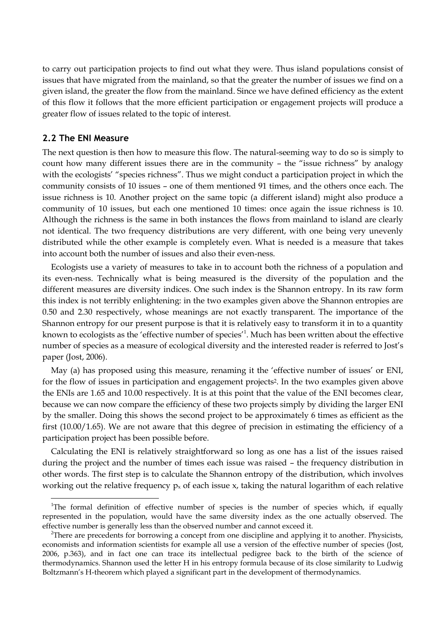to carry out participation projects to find out what they were. Thus island populations consist of issues that have migrated from the mainland, so that the greater the number of issues we find on a given island, the greater the flow from the mainland. Since we have defined efficiency as the extent of this flow it follows that the more efficient participation or engagement projects will produce a greater flow of issues related to the topic of interest.

### **2.2 The ENI Measure**

 $\overline{a}$ 

The next question is then how to measure this flow. The natural-seeming way to do so is simply to count how many different issues there are in the community – the "issue richness" by analogy with the ecologists' "species richness". Thus we might conduct a participation project in which the community consists of 10 issues – one of them mentioned 91 times, and the others once each. The issue richness is 10. Another project on the same topic (a different island) might also produce a community of 10 issues, but each one mentioned 10 times: once again the issue richness is 10. Although the richness is the same in both instances the flows from mainland to island are clearly not identical. The two frequency distributions are very different, with one being very unevenly distributed while the other example is completely even. What is needed is a measure that takes into account both the number of issues and also their even-ness.

Ecologists use a variety of measures to take in to account both the richness of a population and its even-ness. Technically what is being measured is the diversity of the population and the different measures are diversity indices. One such index is the Shannon entropy. In its raw form this index is not terribly enlightening: in the two examples given above the Shannon entropies are 0.50 and 2.30 respectively, whose meanings are not exactly transparent. The importance of the Shannon entropy for our present purpose is that it is relatively easy to transform it in to a quantity known to ecologists as the 'effective number of species'<sup>1</sup>. Much has been written about the effective number of species as a measure of ecological diversity and the interested reader is referred to Jost's paper (Jost, 2006).

May (a) has proposed using this measure, renaming it the 'effective number of issues' or ENI, for the flow of issues in participation and engagement projects2. In the two examples given above the ENIs are 1.65 and 10.00 respectively. It is at this point that the value of the ENI becomes clear, because we can now compare the efficiency of these two projects simply by dividing the larger ENI by the smaller. Doing this shows the second project to be approximately 6 times as efficient as the first (10.00/1.65). We are not aware that this degree of precision in estimating the efficiency of a participation project has been possible before.

Calculating the ENI is relatively straightforward so long as one has a list of the issues raised during the project and the number of times each issue was raised – the frequency distribution in other words. The first step is to calculate the Shannon entropy of the distribution, which involves working out the relative frequency  $p_x$  of each issue x, taking the natural logarithm of each relative

<sup>&</sup>lt;sup>1</sup>The formal definition of effective number of species is the number of species which, if equally represented in the population, would have the same diversity index as the one actually observed. The effective number is generally less than the observed number and cannot exceed it.

 $2$ There are precedents for borrowing a concept from one discipline and applying it to another. Physicists, economists and information scientists for example all use a version of the effective number of species (Jost, 2006, p.363), and in fact one can trace its intellectual pedigree back to the birth of the science of thermodynamics. Shannon used the letter H in his entropy formula because of its close similarity to Ludwig Boltzmann's H-theorem which played a significant part in the development of thermodynamics.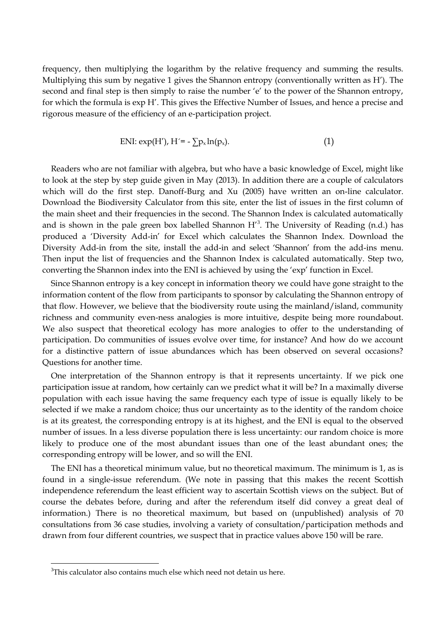frequency, then multiplying the logarithm by the relative frequency and summing the results. Multiplying this sum by negative 1 gives the Shannon entropy (conventionally written as H'). The second and final step is then simply to raise the number 'e' to the power of the Shannon entropy, for which the formula is exp H'. This gives the Effective Number of Issues, and hence a precise and rigorous measure of the efficiency of an e-participation project.

$$
ENI: exp(H'), H' = -\sum p_x \ln(p_x). \tag{1}
$$

Readers who are not familiar with algebra, but who have a basic knowledge of Excel, might like to look at the step by step guide given in May (2013). In addition there are a couple of calculators which will do the first step. Danoff-Burg and Xu (2005) have written an on-line calculator. Download the Biodiversity Calculator from this site, enter the list of issues in the first column of the main sheet and their frequencies in the second. The Shannon Index is calculated automatically and is shown in the pale green box labelled Shannon  $H<sup>3</sup>$ . The University of Reading (n.d.) has produced a 'Diversity Add-in' for Excel which calculates the Shannon Index. Download the Diversity Add-in from the site, install the add-in and select 'Shannon' from the add-ins menu. Then input the list of frequencies and the Shannon Index is calculated automatically. Step two, converting the Shannon index into the ENI is achieved by using the 'exp' function in Excel.

Since Shannon entropy is a key concept in information theory we could have gone straight to the information content of the flow from participants to sponsor by calculating the Shannon entropy of that flow. However, we believe that the biodiversity route using the mainland/island, community richness and community even-ness analogies is more intuitive, despite being more roundabout. We also suspect that theoretical ecology has more analogies to offer to the understanding of participation. Do communities of issues evolve over time, for instance? And how do we account for a distinctive pattern of issue abundances which has been observed on several occasions? Questions for another time.

One interpretation of the Shannon entropy is that it represents uncertainty. If we pick one participation issue at random, how certainly can we predict what it will be? In a maximally diverse population with each issue having the same frequency each type of issue is equally likely to be selected if we make a random choice; thus our uncertainty as to the identity of the random choice is at its greatest, the corresponding entropy is at its highest, and the ENI is equal to the observed number of issues. In a less diverse population there is less uncertainty: our random choice is more likely to produce one of the most abundant issues than one of the least abundant ones; the corresponding entropy will be lower, and so will the ENI.

The ENI has a theoretical minimum value, but no theoretical maximum. The minimum is 1, as is found in a single-issue referendum. (We note in passing that this makes the recent Scottish independence referendum the least efficient way to ascertain Scottish views on the subject. But of course the debates before, during and after the referendum itself did convey a great deal of information.) There is no theoretical maximum, but based on (unpublished) analysis of 70 consultations from 36 case studies, involving a variety of consultation/participation methods and drawn from four different countries, we suspect that in practice values above 150 will be rare.

 $\overline{a}$ 

<sup>&</sup>lt;sup>3</sup>This calculator also contains much else which need not detain us here.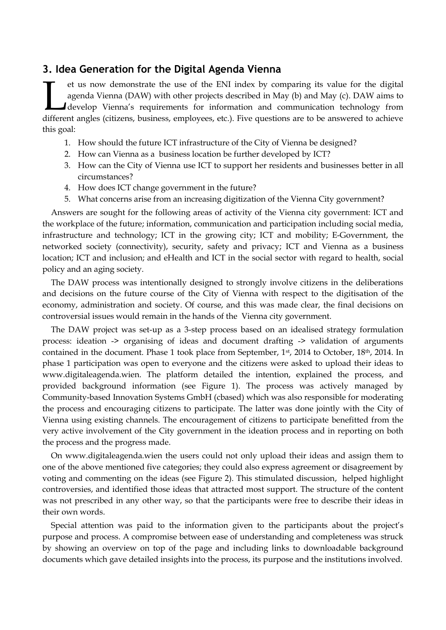## **3. Idea Generation for the Digital Agenda Vienna**

et us now demonstrate the use of the ENI index by comparing its value for the digital agenda Vienna (DAW) with other projects described in May (b) and May (c). DAW aims to develop Vienna's requirements for information and communication technology from et us now demonstrate the use of the ENI index by comparing its value for the digital agenda Vienna (DAW) with other projects described in May (b) and May (c). DAW aims to develop Vienna's requirements for information and this goal:

- 1. How should the future ICT infrastructure of the City of Vienna be designed?
- 2. How can Vienna as a business location be further developed by ICT?
- 3. How can the City of Vienna use ICT to support her residents and businesses better in all circumstances?
- 4. How does ICT change government in the future?
- 5. What concerns arise from an increasing digitization of the Vienna City government?

Answers are sought for the following areas of activity of the Vienna city government: ICT and the workplace of the future; information, communication and participation including social media, infrastructure and technology; ICT in the growing city; ICT and mobility; E-Government, the networked society (connectivity), security, safety and privacy; ICT and Vienna as a business location; ICT and inclusion; and eHealth and ICT in the social sector with regard to health, social policy and an aging society.

The DAW process was intentionally designed to strongly involve citizens in the deliberations and decisions on the future course of the City of Vienna with respect to the digitisation of the economy, administration and society. Of course, and this was made clear, the final decisions on controversial issues would remain in the hands of the Vienna city government.

The DAW project was set-up as a 3-step process based on an idealised strategy formulation process: ideation -> organising of ideas and document drafting -> validation of arguments contained in the document. Phase 1 took place from September, 1st, 2014 to October, 18th, 2014. In phase 1 participation was open to everyone and the citizens were asked to upload their ideas to www.digitaleagenda.wien. The platform detailed the intention, explained the process, and provided background information (see Figure 1). The process was actively managed by Community-based Innovation Systems GmbH (cbased) which was also responsible for moderating the process and encouraging citizens to participate. The latter was done jointly with the City of Vienna using existing channels. The encouragement of citizens to participate benefitted from the very active involvement of the City government in the ideation process and in reporting on both the process and the progress made.

On [www.digitaleagenda.wien](http://www.digitaleagenda.wien/) the users could not only upload their ideas and assign them to one of the above mentioned five categories; they could also express agreement or disagreement by voting and commenting on the ideas (see Figure 2). This stimulated discussion, helped highlight controversies, and identified those ideas that attracted most support. The structure of the content was not prescribed in any other way, so that the participants were free to describe their ideas in their own words.

Special attention was paid to the information given to the participants about the project's purpose and process. A compromise between ease of understanding and completeness was struck by showing an overview on top of the page and including links to downloadable background documents which gave detailed insights into the process, its purpose and the institutions involved.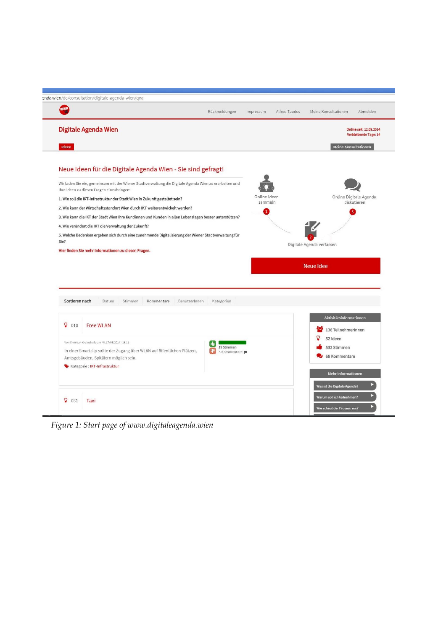| wien                                                                                                                 |                                                                                                        | Rückmeldungen              | Impressum               | Alfred Taudes | Meine Konsultationen<br>Abmelden                   |
|----------------------------------------------------------------------------------------------------------------------|--------------------------------------------------------------------------------------------------------|----------------------------|-------------------------|---------------|----------------------------------------------------|
| Digitale Agenda Wien                                                                                                 |                                                                                                        |                            |                         |               | Online seit: 12.09.2014<br>Verbleibende Tage: 14   |
| Ideen                                                                                                                |                                                                                                        |                            |                         |               | <b>Meine Konsultationen</b>                        |
|                                                                                                                      | Neue Ideen für die Digitale Agenda Wien - Sie sind gefragt!                                            |                            |                         |               |                                                    |
| Ihre Ideen zu diesen Fragen einzubringen:                                                                            | Wir laden Sie ein, gemeinsam mit der Wiener Stadtverwaltung die Digitale Agenda Wien zu erarbeiten und |                            |                         |               |                                                    |
| 1. Wie soll die IKT-Infrastruktur der Stadt Wien in Zukunft gestaltet sein?                                          |                                                                                                        |                            | Online Ideen<br>sammeln |               | Online Digitale Agenda                             |
| 2. Wie kann der Wirtschaftsstandort Wien durch IKT weiterentwickelt werden?                                          |                                                                                                        |                            | 4                       |               | diskutieren                                        |
| 3. Wie kann die IKT der Stadt Wien Ihre Kundinnen und Kunden in allen Lebenslagen besser unterstützen?               |                                                                                                        |                            |                         |               |                                                    |
|                                                                                                                      |                                                                                                        |                            |                         |               |                                                    |
|                                                                                                                      |                                                                                                        |                            |                         |               |                                                    |
|                                                                                                                      | 5. Welche Bedenken ergeben sich durch eine zunehmende Digitalisierung der Wiener Stadtverwaltung für   |                            |                         |               |                                                    |
|                                                                                                                      |                                                                                                        |                            |                         |               | Digitale Agenda verfassen                          |
|                                                                                                                      |                                                                                                        |                            |                         |               |                                                    |
|                                                                                                                      |                                                                                                        |                            |                         |               | <b>Neue Idee</b>                                   |
| 4. Wie verändert die IKT die Verwaltung der Zukunft?<br>Sie?<br>Hier finden Sie mehr Informationen zu diesen Fragen. |                                                                                                        |                            |                         |               |                                                    |
|                                                                                                                      |                                                                                                        |                            |                         |               |                                                    |
|                                                                                                                      |                                                                                                        |                            |                         |               |                                                    |
| Sortieren nach<br>Datum                                                                                              | Stimmen<br>Kommentare<br>BenutzerInnen                                                                 | Kategorien                 |                         |               |                                                    |
|                                                                                                                      |                                                                                                        |                            |                         |               |                                                    |
| ଦ<br>010<br><b>Free WLAN</b>                                                                                         |                                                                                                        |                            |                         |               | Aktivitätsinformationen                            |
|                                                                                                                      |                                                                                                        |                            |                         |               | 136 TeilnehmerInnen                                |
| Von Christian Kratochvila am MI, 17/09/2014 - 16:11                                                                  |                                                                                                        |                            |                         |               | 52 Ideen                                           |
|                                                                                                                      | In einer Smartcity sollte der Zugang über WLAN auf öffentlichen Plätzen,                               | 19 Stimmen<br>5 Kommentare |                         |               | 532 Stimmen                                        |
| Amtsgebäuden, Spitälern möglich sein.                                                                                |                                                                                                        |                            |                         |               | 68 Kommentare                                      |
| Kategorie: IKT-Infrastruktur                                                                                         |                                                                                                        |                            |                         |               |                                                    |
|                                                                                                                      |                                                                                                        |                            |                         |               | Mehr Informationen<br>Was ist die Digitale Agenda? |

*Figure 1: Start page of [www.digitaleagenda.wien](http://www.digitaleagenda.wien/)*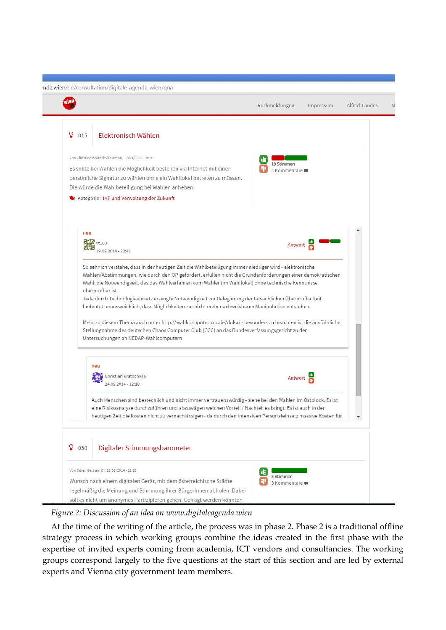|          |                                                                                                                                                                                                                                                                                                                                                                                                                                                                                                                                                                                                                                                                                                                | Rückmeldungen              | Impressum | Alfred Taudes |
|----------|----------------------------------------------------------------------------------------------------------------------------------------------------------------------------------------------------------------------------------------------------------------------------------------------------------------------------------------------------------------------------------------------------------------------------------------------------------------------------------------------------------------------------------------------------------------------------------------------------------------------------------------------------------------------------------------------------------------|----------------------------|-----------|---------------|
| Ω<br>015 | Elektronisch Wählen                                                                                                                                                                                                                                                                                                                                                                                                                                                                                                                                                                                                                                                                                            |                            |           |               |
|          | Von Christian Kratochvila am MI, 17/09/2014 - 16:31<br>Es sollte bei Wahlen die Möglichkeit bestehen via Internet mit einer<br>persönliche Signatur zu wählen ohne ein Wahllokal betreten zu müssen.<br>Die würde die Wahlbeteiligung bei Wahlen anheben.<br>Kategorie: IKT und Verwaltung der Zukunft                                                                                                                                                                                                                                                                                                                                                                                                         | 19 Stimmen<br>4 Kommentare |           |               |
| neu      | vt100<br>$9.09.2014 - 22:41$                                                                                                                                                                                                                                                                                                                                                                                                                                                                                                                                                                                                                                                                                   | Antwort                    |           |               |
|          | Wahlen/Abstimmungen, wie durch den OP gefordert, erfüllen nicht die Grundanforderungen einer demokratischen<br>Wahl; die Notwendigkeit, das das Wahlverfahren vom Wähler (im Wahllokal) ohne technische Kenntnisse<br>überprüfbar ist.<br>Jede durch Technologieeinsatz erzeugte Notwendigkeit zur Delegierung der tatsächlichen Überprüfbarkeit<br>bedeutet unausweichlich, dass Möglichkeiten zur nicht mehr nachweisbaren Manipulation entstehen.<br>Mehr zu diesem Thema auch unter http://wahlcomputer.ccc.de/doku/ - besonders zu beachten ist die ausführliche<br>Stellungnahme des deutschen Chaos Computer Club (CCC) an das Bundesverfassungsgericht zu den<br>Untersuchungen an NEDAP-Wahlcomputern |                            |           |               |
|          | neu                                                                                                                                                                                                                                                                                                                                                                                                                                                                                                                                                                                                                                                                                                            | Antwort                    |           |               |
|          | Christian Kratochvila<br>24.09.2014 - 12:18                                                                                                                                                                                                                                                                                                                                                                                                                                                                                                                                                                                                                                                                    |                            |           |               |
|          | Auch Menschen sind bestechlich und nicht immer vertrauenswürdig - siehe bei den Wahlen im Ostblock. Es ist<br>eine Risikoanalyse durchzuführen und abzuwägen welchen Vorteil / Nachteil es bringt. Es ist auch in der<br>heutigen Zeit die Kosten nicht zu vernachlässigen - da durch den intensiven Personaleinsatz massive Kosten für                                                                                                                                                                                                                                                                                                                                                                        |                            |           |               |
| 050      | Digitaler Stimmungsbarometer                                                                                                                                                                                                                                                                                                                                                                                                                                                                                                                                                                                                                                                                                   |                            |           |               |

*Figure 2: Discussion of an idea on www.digitaleagenda.wien*

At the time of the writing of the article, the process was in phase 2. Phase 2 is a traditional offline strategy process in which working groups combine the ideas created in the first phase with the expertise of invited experts coming from academia, ICT vendors and consultancies. The working groups correspond largely to the five questions at the start of this section and are led by external experts and Vienna city government team members.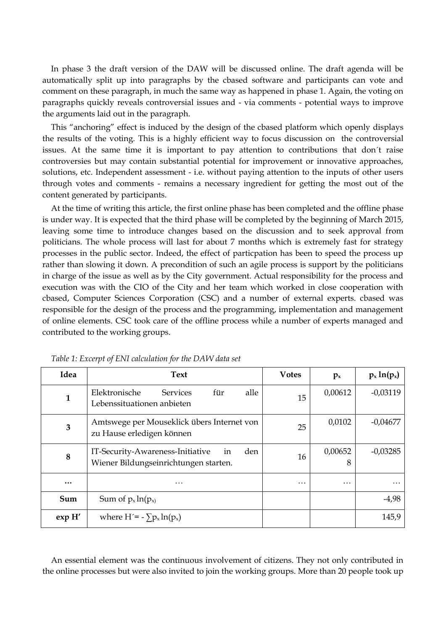In phase 3 the draft version of the DAW will be discussed online. The draft agenda will be automatically split up into paragraphs by the cbased software and participants can vote and comment on these paragraph, in much the same way as happened in phase 1. Again, the voting on paragraphs quickly reveals controversial issues and - via comments - potential ways to improve the arguments laid out in the paragraph.

This "anchoring" effect is induced by the design of the cbased platform which openly displays the results of the voting. This is a highly efficient way to focus discussion on the controversial issues. At the same time it is important to pay attention to contributions that don´t raise controversies but may contain substantial potential for improvement or innovative approaches, solutions, etc. Independent assessment - i.e. without paying attention to the inputs of other users through votes and comments - remains a necessary ingredient for getting the most out of the content generated by participants.

At the time of writing this article, the first online phase has been completed and the offline phase is under way. It is expected that the third phase will be completed by the beginning of March 2015, leaving some time to introduce changes based on the discussion and to seek approval from politicians. The whole process will last for about 7 months which is extremely fast for strategy processes in the public sector. Indeed, the effect of particpation has been to speed the process up rather than slowing it down. A precondition of such an agile process is support by the politicians in charge of the issue as well as by the City government. Actual responsibility for the process and execution was with the CIO of the City and her team which worked in close cooperation with cbased, Computer Sciences Corporation (CSC) and a number of external experts. cbased was responsible for the design of the process and the programming, implementation and management of online elements. CSC took care of the offline process while a number of experts managed and contributed to the working groups.

| Idea                    | <b>Text</b>                                                                            | <b>Votes</b> | $p_{x}$      | $p_x \ln(p_x)$ |
|-------------------------|----------------------------------------------------------------------------------------|--------------|--------------|----------------|
| 1                       | für<br>Elektronische<br>alle<br><b>Services</b><br>Lebenssituationen anbieten          | 15           | 0,00612      | $-0,03119$     |
| 3                       | Amtswege per Mouseklick übers Internet von<br>zu Hause erledigen können                | 25           | 0,0102       | $-0,04677$     |
| 8                       | IT-Security-Awareness-Initiative<br>den<br>in<br>Wiener Bildungseinrichtungen starten. | 16           | 0,00652<br>8 | $-0,03285$     |
| $\bullet\bullet\bullet$ | $\cdots$                                                                               | .            | .            |                |
| Sum                     | Sum of $p_x \ln(p_x)$                                                                  |              |              | $-4,98$        |
| exp H'                  | where $H' = -\sum p_x \ln(p_x)$                                                        |              |              | 145,9          |

*Table 1: Excerpt of ENI calculation for the DAW data set*

An essential element was the continuous involvement of citizens. They not only contributed in the online processes but were also invited to join the working groups. More than 20 people took up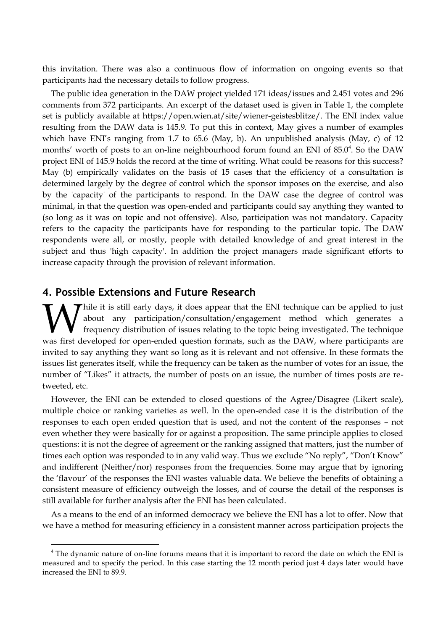this invitation. There was also a continuous flow of information on ongoing events so that participants had the necessary details to follow progress.

The public idea generation in the DAW project yielded 171 ideas/issues and 2.451 votes and 296 comments from 372 participants. An excerpt of the dataset used is given in Table 1, the complete set is publicly available at https://open.wien.at/site/wiener-geistesblitze/. The ENI index value resulting from the DAW data is 145.9. To put this in context, May gives a number of examples which have ENI's ranging from 1.7 to 65.6 (May, b). An unpublished analysis (May, c) of 12 months' worth of posts to an on-line neighbourhood forum found an ENI of 85.0<sup>4</sup>. So the DAW project ENI of 145.9 holds the record at the time of writing. What could be reasons for this success? May (b) empirically validates on the basis of 15 cases that the efficiency of a consultation is determined largely by the degree of control which the sponsor imposes on the exercise, and also by the 'capacity' of the participants to respond. In the DAW case the degree of control was minimal, in that the question was open-ended and participants could say anything they wanted to (so long as it was on topic and not offensive). Also, participation was not mandatory. Capacity refers to the capacity the participants have for responding to the particular topic. The DAW respondents were all, or mostly, people with detailed knowledge of and great interest in the subject and thus 'high capacity'. In addition the project managers made significant efforts to increase capacity through the provision of relevant information.

## **4. Possible Extensions and Future Research**

 $\overline{a}$ 

Thile it is still early days, it does appear that the ENI technique can be applied to just about any participation/consultation/engagement method which generates a frequency distribution of issues relating to the topic being investigated. The technique While it is still early days, it does appear that the ENI technique can be applied to just about any participation/consultation/engagement method which generates a frequency distribution of issues relating to the topic bei invited to say anything they want so long as it is relevant and not offensive. In these formats the issues list generates itself, while the frequency can be taken as the number of votes for an issue, the number of "Likes" it attracts, the number of posts on an issue, the number of times posts are retweeted, etc.

However, the ENI can be extended to closed questions of the Agree/Disagree (Likert scale), multiple choice or ranking varieties as well. In the open-ended case it is the distribution of the responses to each open ended question that is used, and not the content of the responses – not even whether they were basically for or against a proposition. The same principle applies to closed questions: it is not the degree of agreement or the ranking assigned that matters, just the number of times each option was responded to in any valid way. Thus we exclude "No reply", "Don't Know" and indifferent (Neither/nor) responses from the frequencies. Some may argue that by ignoring the 'flavour' of the responses the ENI wastes valuable data. We believe the benefits of obtaining a consistent measure of efficiency outweigh the losses, and of course the detail of the responses is still available for further analysis after the ENI has been calculated.

As a means to the end of an informed democracy we believe the ENI has a lot to offer. Now that we have a method for measuring efficiency in a consistent manner across participation projects the

The dynamic nature of on-line forums means that it is important to record the date on which the ENI is measured and to specify the period. In this case starting the 12 month period just 4 days later would have increased the ENI to 89.9.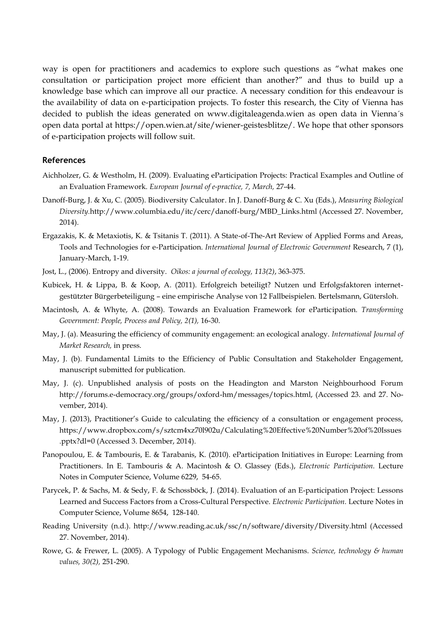way is open for practitioners and academics to explore such questions as "what makes one consultation or participation project more efficient than another?" and thus to build up a knowledge base which can improve all our practice. A necessary condition for this endeavour is the availability of data on e-participation projects. To foster this research, the City of Vienna has decided to publish the ideas generated on www.digitaleagenda.wien as open data in Vienna´s open data portal at https://open.wien.at/site/wiener-geistesblitze/. We hope that other sponsors of e-participation projects will follow suit.

## **References**

- Aichholzer, G. & Westholm, H. (2009). Evaluating eParticipation Projects: Practical Examples and Outline of an Evaluation Framework. *European Journal of e-practice, 7, March,* 27-44.
- Danoff-Burg, J. & Xu, C. (2005). Biodiversity Calculator. In J. Danoff-Burg & C. Xu (Eds.), *Measuring Biological Diversity.*http://www.columbia.edu/itc/cerc/danoff-burg/MBD\_Links.html (Accessed 27. November, 2014).
- Ergazakis, K. & Metaxiotis, K. & Tsitanis T. (2011). A State-of-The-Art Review of Applied Forms and Areas, Tools and Technologies for e-Participation. *International Journal of Electronic Government* Research, 7 (1), January-March, 1-19.
- Jost, L., (2006). Entropy and diversity. *Oikos: a journal of ecology, 113(2)*, 363-375.
- Kubicek, H. & Lippa, B. & Koop, A. (2011). Erfolgreich beteiligt? Nutzen und Erfolgsfaktoren internetgestützter Bürgerbeteiligung – eine empirische Analyse von 12 Fallbeispielen. Bertelsmann, Gütersloh.
- Macintosh, A. & Whyte, A. (2008). Towards an Evaluation Framework for eParticipation. *Transforming Government: People, Process and Policy, 2(1),* 16-30.
- May, J. (a). Measuring the efficiency of community engagement: an ecological analogy. *International Journal of Market Research,* in press.
- May, J. (b). Fundamental Limits to the Efficiency of Public Consultation and Stakeholder Engagement, manuscript submitted for publication.
- May, J. (c). Unpublished analysis of posts on the Headington and Marston Neighbourhood Forum http://forums.e-democracy.org/groups/oxford-hm/messages/topics.html, (Accessed 23. and 27. November, 2014).
- May, J. (2013), Practitioner's Guide to calculating the efficiency of a consultation or engagement process, https://www.dropbox.com/s/sztcm4xz70l902u/Calculating%20Effective%20Number%20of%20Issues .pptx?dl=0 (Accessed 3. December, 2014).
- Panopoulou, E. & Tambouris, E. & Tarabanis, K. (2010). eParticipation Initiatives in Europe: Learning from Practitioners. In E. Tambouris & A. Macintosh & O. Glassey (Eds.), *Electronic Participation.* Lecture Notes in Computer Science, Volume 6229, 54-65.
- Parycek, P. & Sachs, M. & Sedy, F. & Schossböck, J. (2014). Evaluation of an E-participation Project: Lessons Learned and Success Factors from a Cross-Cultural Perspective. *Electronic Participation.* Lecture Notes in Computer Science, Volume 8654, 128-140.
- Reading University (n.d.). http://www.reading.ac.uk/ssc/n/software/diversity/Diversity.html (Accessed 27. November, 2014).
- Rowe, G. & Frewer, L. (2005). A Typology of Public Engagement Mechanisms. *Science, technology & human values, 30(2),* 251-290.